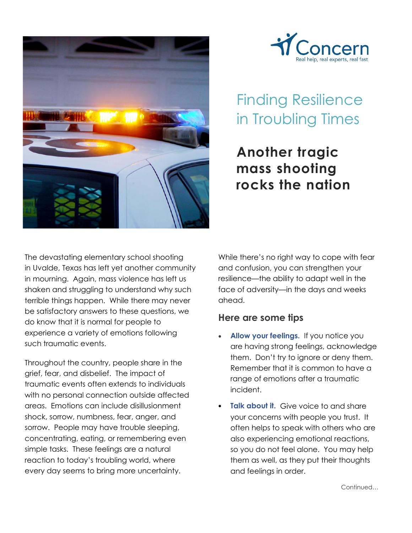



## Finding Resilience in Troubling Times

## **Another tragic mass shooting rocks the nation**

The devastating elementary school shooting in Uvalde, Texas has left yet another community in mourning. Again, mass violence has left us shaken and struggling to understand why such terrible things happen. While there may never be satisfactory answers to these questions, we do know that it is normal for people to experience a variety of emotions following such traumatic events.

Throughout the country, people share in the grief, fear, and disbelief. The impact of traumatic events often extends to individuals with no personal connection outside affected areas. Emotions can include disillusionment shock, sorrow, numbness, fear, anger, and sorrow. People may have trouble sleeping, concentrating, eating, or remembering even simple tasks. These feelings are a natural reaction to today's troubling world, where every day seems to bring more uncertainty.

While there's no right way to cope with fear and confusion, you can strengthen your resilience—the ability to adapt well in the face of adversity—in the days and weeks ahead.

## **Here are some tips**

- **Allow your feelings.** If you notice you are having strong feelings, acknowledge them. Don't try to ignore or deny them. Remember that it is common to have a range of emotions after a traumatic incident.
- **Talk about it.** Give voice to and share your concerns with people you trust. It often helps to speak with others who are also experiencing emotional reactions, so you do not feel alone. You may help them as well, as they put their thoughts and feelings in order.